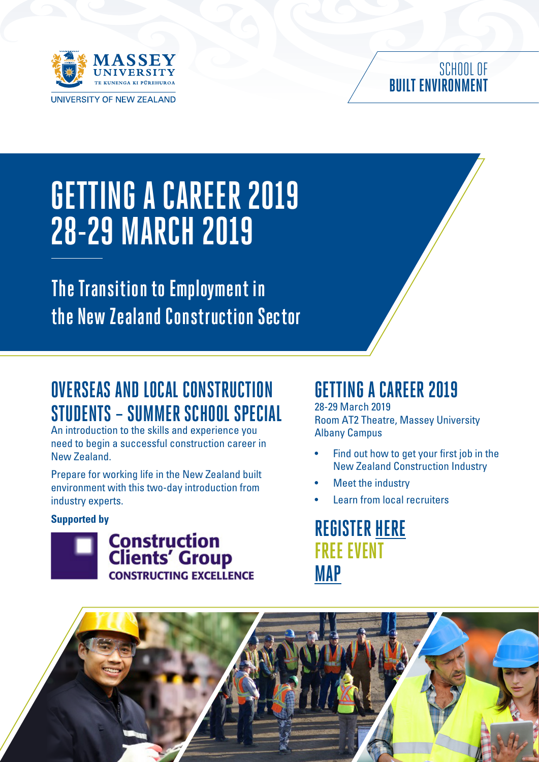

#### SCHOOL OF **BUILT ENVIRONMENT**

# **GETTING A CAREER 2019 28-29 MARCH 2019**

**The Transition to Employment in the New Zealand Construction Sector** 

### **OVERSEAS AND LOCAL CONSTRUCTION STUDENTS – SUMMER SCHOOL SPECIAL**

An introduction to the skills and experience you need to begin a successful construction career in New Zealand.

Prepare for working life in the New Zealand built environment with this two-day introduction from industry experts.

#### **Supported by**



#### **GETTING A CAREER 2019**

28-29 March 2019 Room AT2 Theatre, Massey University Albany Campus

- Find out how to get your first job in the New Zealand Construction Industry
- **Meet the industry**
- Learn from local recruiters

**REGISTER [HERE](https://www.constructing.co.nz/Events/?eventID=512) FREE EVENT [MAP](https://www.constructing.co.nz/uploads/events/512/Venue%20Map.pdf)**